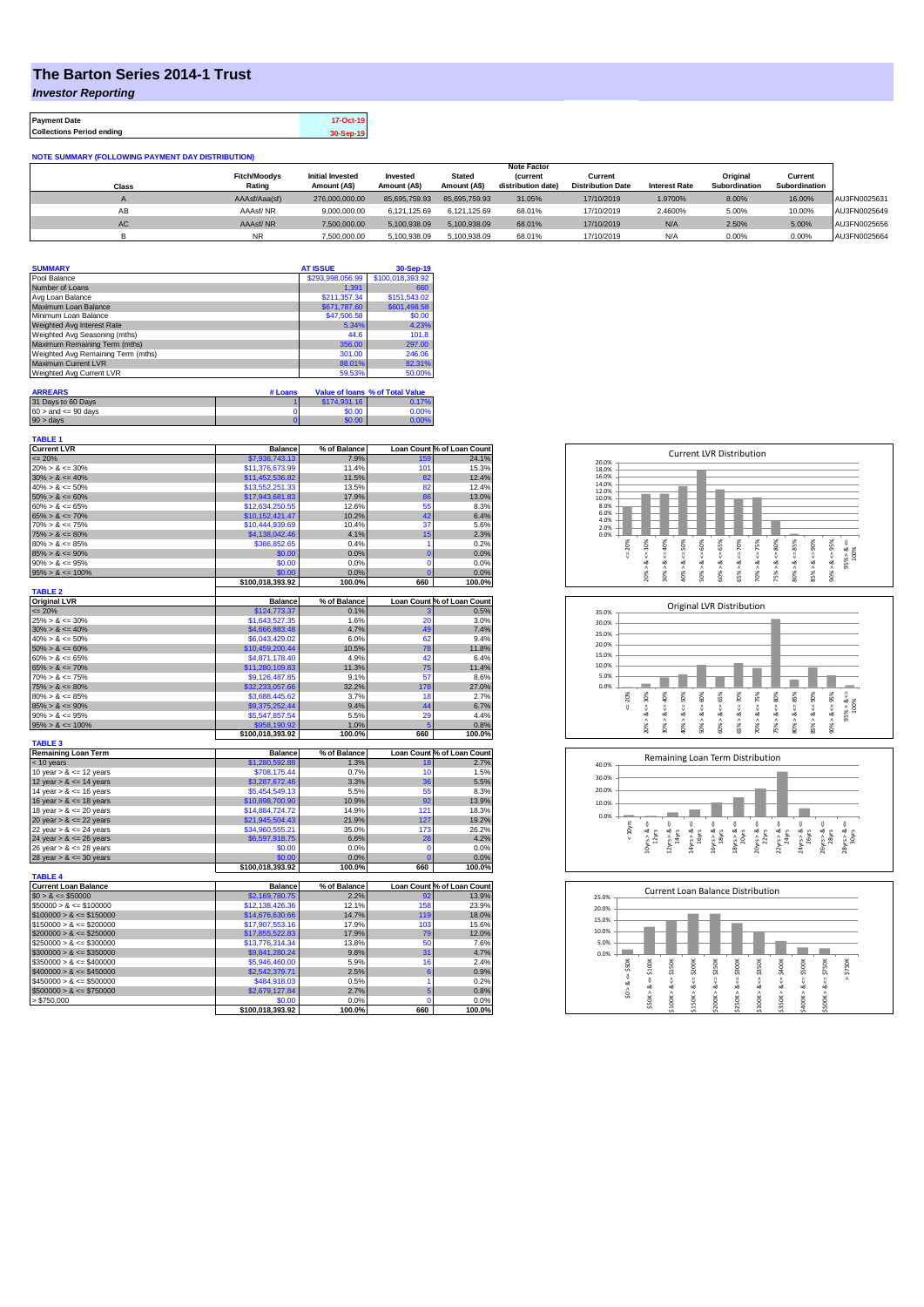## **The Barton Series 2014-1 Trust**

*Investor Reporting*

**Payment Date 17-Oct-19 Collections Period ending 30-Sep-19**

| <b>NOTE SUMMARY (FOLLOWING PAYMENT DAY DISTRIBUTION)</b> |  |  |  |
|----------------------------------------------------------|--|--|--|
|                                                          |  |  |  |

|           | <b>Fitch/Moodvs</b> | <b>Initial Invested</b> | Invested      | <b>Stated</b> | <i>(current</i>    | Current                  |                      | Original      | Current       |              |
|-----------|---------------------|-------------------------|---------------|---------------|--------------------|--------------------------|----------------------|---------------|---------------|--------------|
| Class     | Rating              | Amount (A\$)            | Amount (AS)   | Amount (A\$)  | distribution date) | <b>Distribution Date</b> | <b>Interest Rate</b> | Subordination | Subordination |              |
|           | AAAsf/Aaa(sf)       | 276,000,000,00          | 85.695.759.93 | 85.695.759.93 | 31.05%             | 17/10/2019               | 1.9700%              | 8.00%         | 16.00%        | AU3FN0025631 |
| AB        | AAAsf/NR            | 9.000.000.00            | 6.121.125.69  | 6.121.125.69  | 68.01%             | 17/10/2019               | 2.4600%              | 5.00%         | 10.00%        | AU3FN0025649 |
| <b>AC</b> | AAAsf/NR            | 7.500.000.00            | 5.100.938.09  | 5.100.938.09  | 68.01%             | 17/10/2019               | N/A                  | 2.50%         | 5.00%         | AU3FN0025656 |
|           | <b>NR</b>           | 7.500.000.00            | 5.100.938.09  | 5.100.938.09  | 68.01%             | 17/10/2019               | N/f                  | 0.00%         | 0.00%         | AU3FN0025664 |

**Note Factor** 

| <b>SUMMARY</b>                     | <b>AT ISSUE</b>  | 30-Sep-19        |
|------------------------------------|------------------|------------------|
| Pool Balance                       | \$293,998,056.99 | \$100,018,393.92 |
| Number of Loans                    | 1.391            | 660              |
| Avg Loan Balance                   | \$211,357.34     | \$151,543.02     |
| Maximum Loan Balance               | \$671,787.60     | \$601,498.58     |
| Minimum Loan Balance               | \$47,506.58      | \$0.00           |
| Weighted Avg Interest Rate         | 5.34%            | 4.23%            |
| Weighted Avg Seasoning (mths)      | 44.6             | 101.8            |
| Maximum Remaining Term (mths)      | 356.00           | 297.00           |
| Weighted Avg Remaining Term (mths) | 301.00           | 246.06           |
| Maximum Current LVR                | 88.01%           | 82.31%           |
| Weighted Avg Current LVR           | 59.53%           | 50.00%           |

| <b>ARREARS</b>            | # Loans |              | Value of Ioans % of Total Value |
|---------------------------|---------|--------------|---------------------------------|
| 31 Days to 60 Days        |         | \$174,931.16 | $0.17\%$                        |
| $60 >$ and $\leq 90$ days |         | \$0.00       | 0.00%                           |
| $90 > \text{davs}$        |         | \$0.00       | 0.00%                           |

| TABLE 1                     |                  |              |                |                                                                                                                                                     |
|-----------------------------|------------------|--------------|----------------|-----------------------------------------------------------------------------------------------------------------------------------------------------|
| <b>Current LVR</b>          | <b>Balance</b>   | % of Balance |                | Loan Count % of Loan Count                                                                                                                          |
| $= 20%$                     | \$7,936,743.13   | 7.9%         | 159            | 24.1%                                                                                                                                               |
| $20\% > 8 \le 30\%$         | \$11,376,673.99  | 11.4%        | 101            | 15.3%                                                                                                                                               |
| $30\% > 8 \le 40\%$         | \$11,452,536.82  | 11.5%        | 82             | 12.4%                                                                                                                                               |
| $40\% > 8 \le 50\%$         | \$13,552,251.33  | 13.5%        | 82             | 12.4%                                                                                                                                               |
| $50\% > 8 \le 60\%$         | \$17,943,681.83  | 17.9%        | 86             | 13.0%                                                                                                                                               |
| $60\% > 8 \le 65\%$         | \$12,634,250.55  | 12.6%        | 55             | 8.3%                                                                                                                                                |
| $65\% > 8 \le 70\%$         | \$10,152,421.47  | 10.2%        | 42             | 6.4%                                                                                                                                                |
| $70\% > 8 \le 75\%$         | \$10.444.939.69  | 10.4%        | 37             | 5.6%                                                                                                                                                |
| $75\% > 8 \le 80\%$         | \$4,138,042.46   | 4.1%         | 15             | 2.3%                                                                                                                                                |
| $80\% > 8 \le 85\%$         | \$386,852.65     | 0.4%         | 1              | 0.2%                                                                                                                                                |
| $85\% > 8 \le 90\%$         | \$0.00           | 0.0%         | $\overline{0}$ | 0.0%                                                                                                                                                |
| $90\% > 8 \le 95\%$         | \$0.00           | 0.0%         | $\mathbf 0$    | 0.0%                                                                                                                                                |
| $95\% > 8 \le 100\%$        | \$0.00           | 0.0%         | $\mathbf 0$    | 0.0%                                                                                                                                                |
|                             | \$100,018,393.92 | 100.0%       | 660            | 100.0%                                                                                                                                              |
| <b>TABLE 2</b>              |                  |              |                |                                                                                                                                                     |
| <b>Original LVR</b>         | <b>Balance</b>   | % of Balance |                | Loan Count % of Loan Count                                                                                                                          |
| $= 20%$                     | \$124,773.37     | 0.1%         | 3              | 0.5%                                                                                                                                                |
| $25\% > 8 \le 30\%$         | \$1,643,527.35   | 1.6%         | 20             | 3.0%                                                                                                                                                |
| $30\% > 8 \le 40\%$         | \$4,666,883.48   | 4.7%         | 49             | 7.4%                                                                                                                                                |
| $40\% > 8 \le 50\%$         | \$6,043,429.02   | 6.0%         | 62             | 9.4%                                                                                                                                                |
| $50\% > 8 \le 60\%$         | \$10,459,200.44  | 10.5%        | 78             | 11.8%                                                                                                                                               |
| $60\% > 8 \le 65\%$         | \$4,871,178.40   | 4.9%         | 42             | 6.4%                                                                                                                                                |
|                             |                  |              |                |                                                                                                                                                     |
| $65\% > 8 \le 70\%$         | \$11,280,109.83  | 11.3%        | 75             | 11.4%                                                                                                                                               |
| $70\% > 8 \le 75\%$         | \$9,126,487.85   | 9.1%         | 57             | 8.6%                                                                                                                                                |
| $75\% > 8 \le 80\%$         | \$32,233,057.66  | 32.2%        | 178            | 27.0%                                                                                                                                               |
| $80\% > 8 \le 85\%$         | \$3,688,445.62   | 3.7%         | 18             | 2.7%                                                                                                                                                |
| $85\% > 8 \le 90\%$         | \$9,375,252.44   | 9.4%         | 44             | 6.7%                                                                                                                                                |
| $90\% > 8 \le 95\%$         | \$5,547,857.54   | 5.5%         | 29             | 4.4%                                                                                                                                                |
| $95\% > 8 \le 100\%$        | \$958.190.92     | 1.0%         | F              | 0.8%                                                                                                                                                |
|                             | \$100,018,393.92 | 100.0%       | 660            | 100.0%                                                                                                                                              |
| <b>TABLE 3</b>              |                  |              |                |                                                                                                                                                     |
| <b>Remaining Loan Term</b>  | <b>Balance</b>   | % of Balance |                | Loan Count % of Loan Count                                                                                                                          |
| < 10 years                  | \$1,280,592.88   | 1.3%         | 18             | 2.7%                                                                                                                                                |
| 10 year $> 8 \le 12$ years  |                  |              |                |                                                                                                                                                     |
|                             | \$708,175.44     | 0.7%         | 10             |                                                                                                                                                     |
| 12 year $> 8 \le 14$ years  | \$3,287,672.46   | 3.3%         | 36             |                                                                                                                                                     |
| 14 year $> 8 \le 16$ years  | \$5,454,549.13   | 5.5%         | 55             |                                                                                                                                                     |
|                             |                  |              | 92             |                                                                                                                                                     |
| 16 year $> 8 \le 18$ years  | \$10,898,700.90  | 10.9%        |                |                                                                                                                                                     |
| 18 year $> 8 \le 20$ years  | \$14,884,724.72  | 14.9%        | 121<br>127     |                                                                                                                                                     |
| 20 year $> 8 \le 22$ years  | \$21,945,504.43  | 21.9%        |                |                                                                                                                                                     |
| 22 year $> 8 \le 24$ years  | \$34,960,555.21  | 35.0%        | 173            |                                                                                                                                                     |
| 24 year $> 8 \le 26$ years  | \$6,597,918.75   | 6.6%         | 28             |                                                                                                                                                     |
| 26 year $> 8 \le 28$ years  | \$0.00           | 0.0%         | $\mathbf 0$    |                                                                                                                                                     |
| 28 year $> 8 \le 30$ years  | \$0.00           | 0.0%         | $\overline{0}$ |                                                                                                                                                     |
|                             | \$100,018,393.92 | 100.0%       | 660            |                                                                                                                                                     |
| <b>TABLE 4</b>              |                  |              |                |                                                                                                                                                     |
| <b>Current Loan Balance</b> | <b>Balance</b>   | % of Balance |                |                                                                                                                                                     |
| $$0 > 8 \leq $50000$        | \$2,169,780.75   | 2.2%         | 92             |                                                                                                                                                     |
| $$50000 > 8 \le $100000$    | \$12,138,426.36  | 12.1%        | 158            |                                                                                                                                                     |
| $$100000 > 8 \le $150000$   | \$14,676,630.66  | 14.7%        | 119            | 1.5%<br>5.5%<br>8.3%<br>13.9%<br>18.3%<br>19.2%<br>26.2%<br>4.2%<br>0.0%<br>0.0%<br>100.0%<br>Loan Count % of Loan Count<br>13.9%<br>23.9%<br>18.0% |
| $$150000 > 8 \le $200000$   | \$17,907,553.16  | 17.9%        | 103            |                                                                                                                                                     |
| $$200000 > 8 \leq $250000$  | \$17,855,522.83  | 17.9%        | 79             |                                                                                                                                                     |
| $$250000 > 8 \le $300000$   | \$13,776,314.34  | 13.8%        | 50             |                                                                                                                                                     |
| $$300000 > 8 \leq $350000$  | \$9,841,280.24   | 9.8%         | 31             |                                                                                                                                                     |
| $$350000 > 8 \le $400000$   | \$5,946,460.00   | 5.9%         | 16             |                                                                                                                                                     |
| $$400000 > 8 \le $450000$   | \$2,542,379.71   | 2.5%         | 6              | 15.6%<br>12.0%<br>7.6%<br>4.7%<br>2.4%<br>0.9%                                                                                                      |
| $$450000 > 8 \le $500000$   | \$484,918.03     | 0.5%         | 1              | 0.2%                                                                                                                                                |
| $$500000 > 8 \le $750000$   | \$2,679,127.84   | 2.7%         | 5              | 0.8%                                                                                                                                                |
| > \$750,000                 | \$0.00           | 0.0%         | $\Omega$       | 0.0%                                                                                                                                                |







| 25.0% |        |        |        |             |        | <b>Current Loan Balance Distribution</b> |        |         |        |         |          |
|-------|--------|--------|--------|-------------|--------|------------------------------------------|--------|---------|--------|---------|----------|
| 20.0% |        |        |        |             |        |                                          |        |         |        |         |          |
| 15.0% |        |        |        |             |        |                                          |        |         |        |         |          |
| 10.0% |        |        |        |             |        |                                          |        |         |        |         |          |
| 5.0%  |        |        |        |             |        |                                          |        |         |        |         |          |
| 0.0%  |        |        |        |             |        |                                          |        |         |        |         |          |
|       | \$50K  | \$100K | \$150K | $4 = $200K$ | \$250K | \$300K                                   | \$350K | \$400K  | \$500K | \$750K  | \$750K   |
|       | ő      | ő      | J.     |             | ű      | ű                                        | ₩      | ű       |        | V       | $\wedge$ |
|       | త<br>٨ | ಹ      | ∞      |             | ∞      |                                          | œ      | ∞       | œ      | ∞       |          |
|       | S.     | \$50K> | Λ      | \$150K > 8  | Λ      | \$250K > 8                               | Λ      | \$350K> |        | \$500K> |          |
|       |        |        | \$100K |             | \$200K |                                          | \$300K |         | \$400K |         |          |